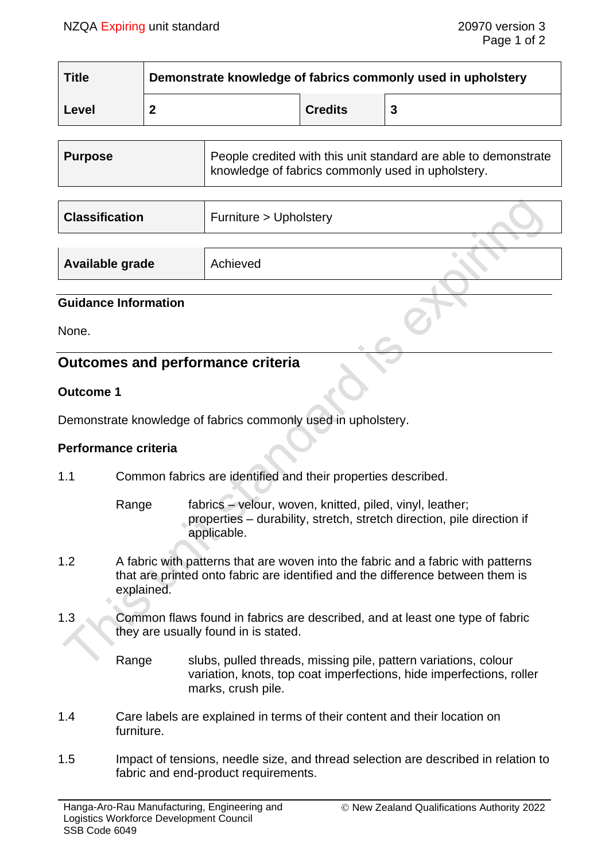| <b>Title</b> | Demonstrate knowledge of fabrics commonly used in upholstery |                |  |
|--------------|--------------------------------------------------------------|----------------|--|
| Level        |                                                              | <b>Credits</b> |  |

| <b>Purpose</b> | People credited with this unit standard are able to demonstrate<br>knowledge of fabrics commonly used in upholstery. |
|----------------|----------------------------------------------------------------------------------------------------------------------|
|                |                                                                                                                      |

| <b>Classification</b> | Furniture > Upholstery |  |
|-----------------------|------------------------|--|
|                       |                        |  |
| Available grade       | Achieved               |  |

## **Guidance Information**

None.

# **Outcomes and performance criteria**

### **Outcome 1**

Demonstrate knowledge of fabrics commonly used in upholstery.

### **Performance criteria**

1.1 Common fabrics are identified and their properties described.

Range fabrics – velour, woven, knitted, piled, vinyl, leather; properties – durability, stretch, stretch direction, pile direction if applicable.

- 1.2 A fabric with patterns that are woven into the fabric and a fabric with patterns that are printed onto fabric are identified and the difference between them is explained.
- 1.3 Common flaws found in fabrics are described, and at least one type of fabric they are usually found in is stated.

Range slubs, pulled threads, missing pile, pattern variations, colour variation, knots, top coat imperfections, hide imperfections, roller marks, crush pile.

- 1.4 Care labels are explained in terms of their content and their location on furniture.
- 1.5 Impact of tensions, needle size, and thread selection are described in relation to fabric and end-product requirements.